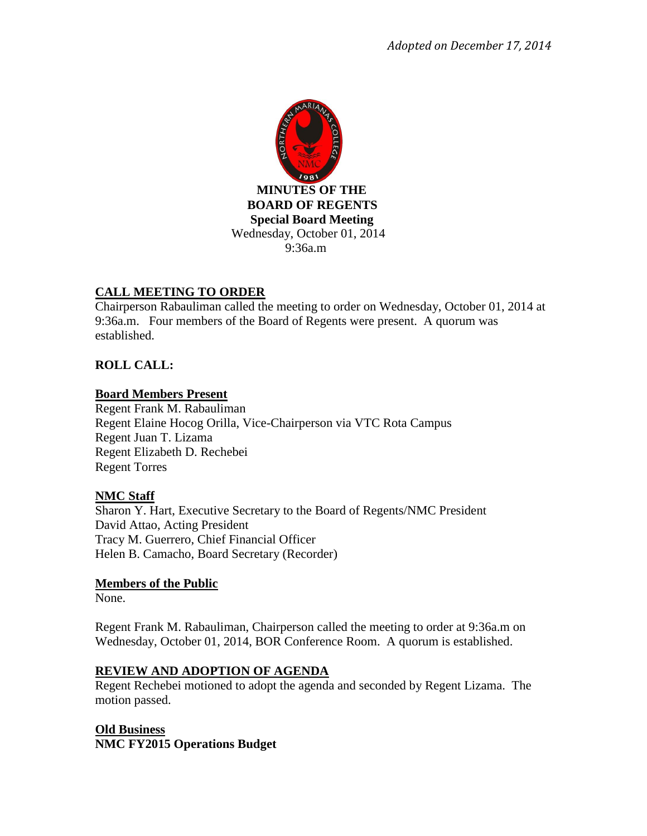

# **CALL MEETING TO ORDER**

Chairperson Rabauliman called the meeting to order on Wednesday, October 01, 2014 at 9:36a.m. Four members of the Board of Regents were present. A quorum was established.

# **ROLL CALL:**

## **Board Members Present**

Regent Frank M. Rabauliman Regent Elaine Hocog Orilla, Vice-Chairperson via VTC Rota Campus Regent Juan T. Lizama Regent Elizabeth D. Rechebei Regent Torres

## **NMC Staff**

Sharon Y. Hart, Executive Secretary to the Board of Regents/NMC President David Attao, Acting President Tracy M. Guerrero, Chief Financial Officer Helen B. Camacho, Board Secretary (Recorder)

### **Members of the Public**

None.

Regent Frank M. Rabauliman, Chairperson called the meeting to order at 9:36a.m on Wednesday, October 01, 2014, BOR Conference Room. A quorum is established.

## **REVIEW AND ADOPTION OF AGENDA**

Regent Rechebei motioned to adopt the agenda and seconded by Regent Lizama. The motion passed.

# **Old Business NMC FY2015 Operations Budget**